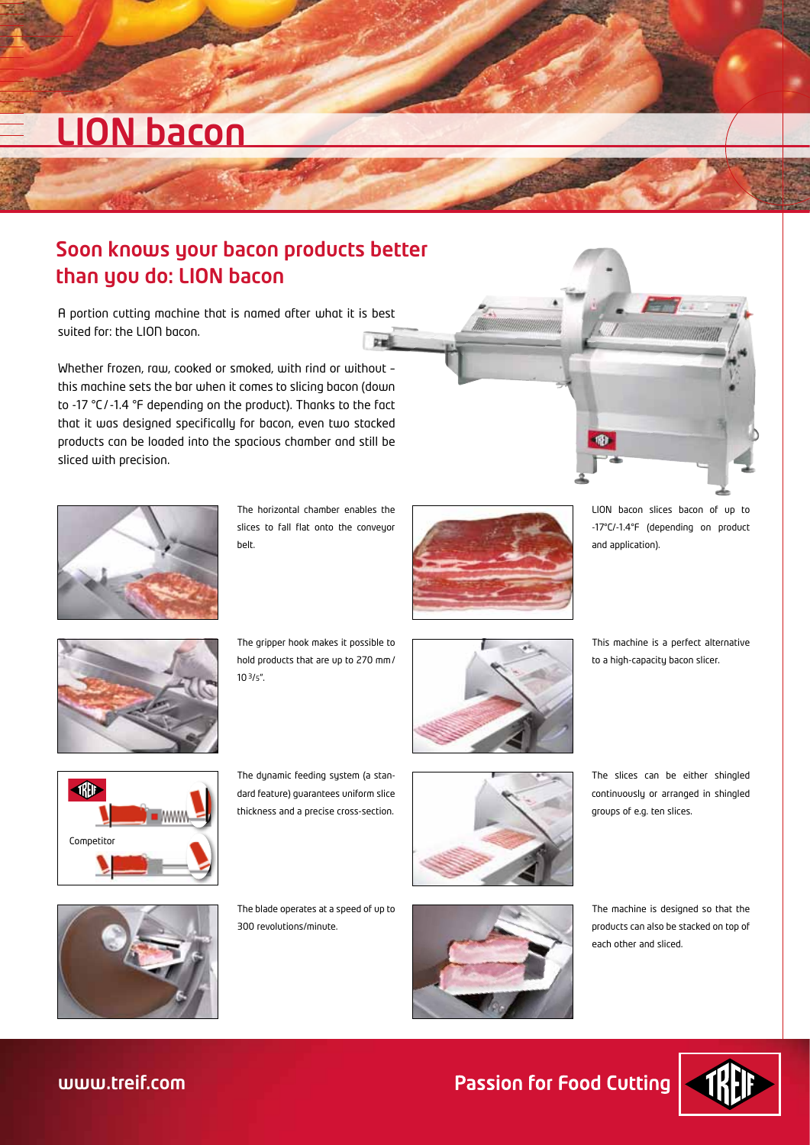# LION bacon

### Soon knows your bacon products better than you do: LION bacon

A portion cutting machine that is named after what it is best suited for: the LION bacon.  $5<sub>2</sub>$ 

Whether frozen, raw, cooked or smoked, with rind or without – this machine sets the bar when it comes to slicing bacon (down to -17 °C/-1.4 °F depending on the product). Thanks to the fact that it was designed specifically for bacon, even two stacked products can be loaded into the spacious chamber and still be sliced with precision.



The horizontal chamber enables the slices to fall flat onto the conveyor belt.



LION bacon slices bacon of up to -17°C/-1.4°F (depending on product and application).



The gripper hook makes it possible to hold products that are up to 270 mm/ 103/5".



This machine is a perfect alternative to a high-capacity bacon slicer.



The dynamic feeding system (a standard feature) guarantees uniform slice thickness and a precise cross-section.



The slices can be either shingled continuously or arranged in shingled groups of e.g. ten slices.



The blade operates at a speed of up to 300 revolutions/minute.



The machine is designed so that the products can also be stacked on top of each other and sliced.



**Passion for Food Cutting**